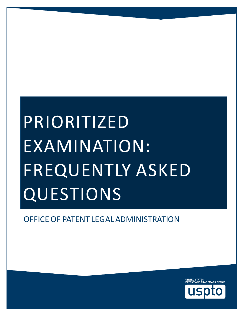# PRIORITIZED EXAMINATION: FREQUENTLY ASKED **QUESTIONS**

OFFICE OF PATENT LEGAL ADMINISTRATION

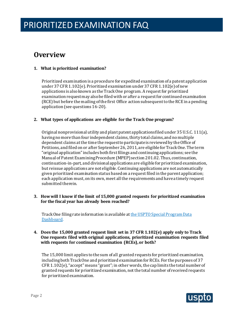### **Overview**

#### **1. What is prioritized examination?**

 examination request may also be filed with or after a request for continued examination (RCE) but before the mailing of the first Office action subsequent to the RCE in a pending Prioritized examination is a procedure for expedited examination of a patent application under 37 CFR 1.102(e). Prioritized examination under 37 CFR 1.102(e) of new applications is also known as the Track One program. A request for prioritized application (see questions 16-20).

#### **2. What types of applications are eligible for the Track One program?**

 but reissue applications are not eligible. Continuing applications are not automatically Original nonprovisional utility and plant patent applications filed under 35 U.S.C. 111(a), having no more than four independent claims, thirty total claims, and no multiple dependent claims at the time the request to participate is reviewed by the Office of Petitions, and filed on or after September 26, 2011, are eligible for Track One. The term "original application" includes both first filings and continuing applications; see the Manual of Patent Examining Procedure (MPEP) section [201.02](https://section201.02). Thus, continuation, continuation-in-part, and divisional applications are eligible for prioritized examination, given prioritized examination status based on a request filed in the parent application; each application must, on its own, meet all the requirements and have a timely request submitted therein.

 **3. How will I know if the limit of 15,000 granted requests for prioritized examination for the fiscal year has already been reached?** 

 [Dashboard.](https://www.uspto.gov/dashboard/patents/special.html) Track One filing rate information is available a[t the USPTO Special Program Data](https://www.uspto.gov/dashboard/patents/special.html) 

#### **4. Does the 15,000 granted request limit set in 37 CFR 1.102(e) apply only to Track One requests filed with original applications, prioritized examination requests filed with requests for continued examination (RCEs), or both?**

 including both Track One and prioritized examination for RCEs. For the purposes of 37 The 15,000 limit applies to the sum of all granted requests for prioritized examination, CFR 1.102(e), "accept" means "grant"; in other words, the cap limits the total number of granted requests for prioritized examination, not the total number of received requests for prioritized examination.

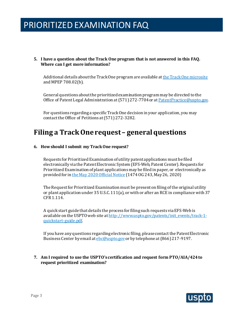#### **5. I have a question about the Track One program that is not answered in this FAQ. Where can I get more information?**

 and MPEP 708.02(b). Additional details about the Track One program are available a[t the Track One microsite](https://www.uspto.gov/patents/initiatives/usptos-prioritized-patent-examination-program) 

General questions about the prioritized examination program may be directed to the Office of Patent Legal Administration at (571) 272-7704 or at Patent Practice@uspto.gov.

 contact the Office of Petitions at (571) 272-3282. For questions regarding a specific Track One decision in your application, you may

### **Filing a Track One request – general questions**

#### **6. How should I submit my Track One request?**

 Prioritized Examination of plant applications may be filed in paper, or electronically as Requests for Prioritized Examination of utility patent applications must be filed electronically via the Patent Electronic System (EFS-Web, Patent Center). Requests for provided for i[n the May 2020 Official Notice](https://www.uspto.gov/sites/default/files/documents/plant-efiling-20200504.pdf?utm_campaign=subscriptioncenter&utm_content=&utm_medium=email&utm_name=&utm_source=govdelivery&utm_term=) (1474 OG 243, May 26, 2020)

The Request for Prioritized Examination must be present on filing of the original utility or plant application under 35 U.S.C. 111(a), or with or after an RCEin compliance with 37 CFR 1.114.

A quick start guide that details the process for filing such requests via EFS-Web is available on the USPTO web site at [http://www.uspto.gov/patents/init\\_events/track-1](http://www.uspto.gov/patents/init_events/track-1-quickstart-guide.pdf) [quickstart-guide.pdf.](http://www.uspto.gov/patents/init_events/track-1-quickstart-guide.pdf)

Business Center by email at <u>ebc@uspto.gov</u> or by telephone at (866) 217-9197. If you have any questions regarding electronic filing, please contact the Patent Electronic

#### **7. Am I required to use the USPTO's certification and request form PTO/AIA/424 to request prioritized examination?**

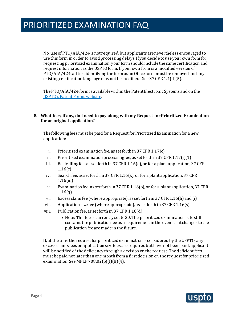No, use of PTO/AIA/424 is not required, but applicants are nevertheless encouraged to use this form in order to avoid processing delays. If you decide to use your own form for request information as the USPTO form. If your own form is a modified version of PTO/AIA/424, all text identifying the form as an Office form must be removed and any existing certification language may not be modified. See 37 CFR 1.4(d)(5). requesting prioritized examination, your form should include the same certification and

The PTO/AIA/424 form is available within the Patent Electronic Systems and on the [USPTO's Patent Forms website.](https://www.uspto.gov/patents/apply/forms/forms-patent-applications-filed-or-after-september-16-2012)

#### **8. What fees, if any, do I need to pay along with my Request for Prioritized Examination for an original application?**

The following fees must be paid for a Request for Prioritized Examination for a new application:

- i. Prioritized examination fee, as set forth in 37 CFR 1.17(c)
- ii. Prioritized examination processing fee, as set forth in 37 CFR 1.17(i)(1)
- iii. Basic filing fee, as set forth in 37 CFR 1.16(a), or for a plant application, 37 CFR 1.16(c)
- iv. Search fee, as set forth in 37 CFR 1.16(k), or for a plant application, 37 CFR 1.16(m)
- v. Examination fee, as set forth in 37 CFR 1.16(o), or for a plant application, 37 CFR 1.16(q)
- vi. Excess claim fee (where appropriate), as set forth in 37 CFR 1.16(h) and (i)
- vii. Application size fee (where appropriate), as set forth in 37 CFR 1.16(s)
- viii. Publication fee, as set forth in 37 CFR 1.18(d)
	- Note: This fee is currently set to \$0. The prioritized examination rule still contains the publication fee as a requirement in the event that changes to the publication fee are made in the future.

 excess claims fees or application size fees are required but have not been paid, applicant examination. See MPEP 708.02(b)(I)(B)(4). If, at the time the request for prioritized examination is considered by the USPTO, any will be notified of the deficiency through a decision on the request. The deficient fees must be paid not later than one month from a first decision on the request for prioritized

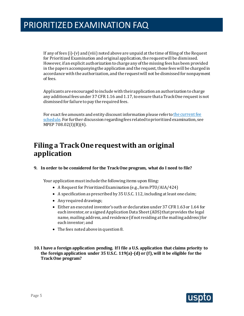If any of fees (i)-(v) and (viii) noted above are unpaid at the time of filing of the Request for Prioritized Examination and original application, the request will be dismissed. However, if an explicit authorization to charge any of the missing fees has been provided in the papers accompanying the application and the request, those fees will be charged in accordance with the authorization, and the request will not be dismissed for nonpayment of fees.

Applicants are encouraged to include with their application an authorization to charge any additional fees under 37 CFR 1.16 and 1.17, to ensure that a Track One request is not dismissed for failure to pay the required fees.

For exact fee amounts and entity discount information please refer t[o the current fee](https://www.uspto.gov/learning-and-resources/fees-and-payment)  [schedule.](https://www.uspto.gov/learning-and-resources/fees-and-payment) For further discussion regarding fees related to prioritized examination, see MPEP 708.02(I)(B)(4).

### **Filing a Track One request with an original application**

#### **9. In order to be considered for the Track One program, what do I need to file?**

Your application must include the following items upon filing:

- A Request for Prioritized Examination (e.g., form PTO/AIA/424)
- A specification as prescribed by 35 U.S.C. 112, including at least one claim;
- Any required drawings;
- Either an executed inventor's oath or declaration under 37 CFR 1.63 or 1.64 for each inventor, or a signed Application Data Sheet (ADS) that provides the legal name, mailing address, and residence (if not residing at the mailing address) for each inventor; and
- The fees noted above in question 8.
- **10. I have a foreign application pending. If I file a U.S. application that claims priority to the foreign application under 35 U.S.C. 119(a)-(d) or (f), will it be eligible for the Track One program?**

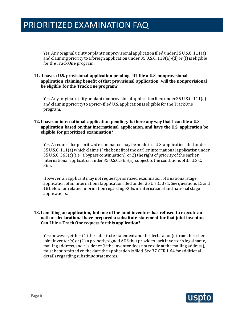for the Track One program. Yes. Any original utility or plant nonprovisional application filed under 35 U.S.C. 111(a) and claiming priority to a foreign application under 35 U.S.C. 119(a)-(d) or (f) is eligible

#### **11. I have a U.S. provisional application pending. If I file a U.S. nonprovisional application claiming benefit of that provisional application, will the nonprovisional be eligible for the Track One program?**

Yes. Any original utility or plant nonprovisional application filed under 35 U.S.C. 111(a) and claiming priority to a prior-filed U.S. application is eligible for the Track One program.

#### **12. I have an international application pending. Is there any way that I can file a U.S. application based on that international application, and have the U.S. application be eligible for prioritized examination?**

 35 U.S.C. 111(a) which claims 1) the benefit of the earlier international application under 35 U.S.C. 365(c) (i.e., a bypass continuation), or 2) the right of priority of the earlier Yes. A request for prioritized examination may be made in a U.S. application filed under international application under 35 U.S.C. 365(a), subject to the conditions of 35 U.S.C. 365.

However, an applicant may not requestprioritized examination of a national stage application of an international application filed under 35 U.S.C. 371. See questions 15 and 18 below for related information regarding RCEs in international and national stage applications.

#### **13. I am filing an application, but one of the joint inventors has refused to execute an Can I file a Track One request for this application? oath or declaration. I have prepared a substitute statement for that joint inventor.**

Yes; however, either (1) the substitute statement and the declaration(s) from the other joint inventor(s) or (2) a properly signed ADS that provides each inventor's legal name, mailing address, and residence (if the inventor does not reside at the mailing address), must be submitted on the date the application is filed. See 37 CFR 1.64 for additional details regarding substitute statements.

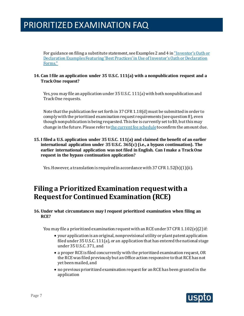For guidance on filing a substitute statement, see Examples 2 and 4 i[n "Inventor's Oath or](https://www.uspto.gov/sites/default/files/aia_implementation/oath_declaration_examples.pdf)  [Forms."](https://www.uspto.gov/sites/default/files/aia_implementation/oath_declaration_examples.pdf)  [Declaration Examples Featuring 'Best Practices' in Use of Inventor's Oath or Declaration](https://www.uspto.gov/sites/default/files/aia_implementation/oath_declaration_examples.pdf) 

#### **14. Can I file an application under 35 U.S.C. 111(a) with a nonpublication request and a Track One request?**

 Yes, you may file an application under 35 U.S.C. 111(a) with both nonpublication and Track One requests.

 comply with the prioritized examination request requirements (see question 8), even Note that the publication fee set forth in 37 CFR 1.18(d) must be submitted in order to though nonpublication is being requested. This fee is currently set to \$0, but this may change in the future. Please refer to the current fee schedule to confirm the amount due.

 **15. I filed a U.S. application under 35 U.S.C. 111(a) and claimed the benefit of an earlier international application under 35 U.S.C. 365(c) (i.e., a bypass continuation). The earlier international application was not filed in English. Can I make a Track One request in the bypass continuation application?** 

Yes. However, a translation is required in accordance with  $37$  CFR  $1.52(b)(1)(ii)$ .

### **Filing a Prioritized Examination request with a Request for Continued Examination (RCE)**

#### **16. Under what circumstances may I request prioritized examination when filing an RCE?**

You may file a prioritized examination request with an RCE under 37 CFR 1.102(e)(2) if:

- your application is an original, nonprovisional utility or plant patent application filed under 35 U.S.C. 111(a), or an application that has entered the national stage under 35 U.S.C. 371, and
- a proper RCE is filed concurrently with the prioritized examination request, OR the RCE was filed previously but an Office action responsive to that RCE has not yet been mailed, and
- no previous prioritized examination request for an RCE has been granted in the application

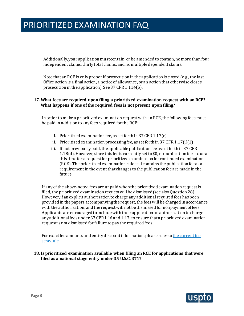Additionally, your application must contain, or be amended to contain, no more than four independent claims, thirty total claims, and no multiple dependent claims.

Note that an RCE is only proper if prosecution in the application is closed (e.g., the last Office action is a final action, a notice of allowance, or an action that otherwise closes prosecution in the application). See 37 CFR 1.114(b).

#### **17. What fees are required upon filing a prioritized examination request with an RCE? What happens if one of the required fees is not present upon filing?**

In order to make a prioritized examination request with an RCE, the following fees must be paid in addition to any fees required for the RCE:

- i. Prioritized examination fee, as set forth in 37 CFR 1.17(c)
- ii. Prioritized examination processing fee, as set forth in 37 CFR 1.17(i)(1)
- iii. If not previously paid, the applicable publication fee as set forth in 37 CFR 1.18(d). However, since this fee is currently set to \$0, no publication fee is due at this time for a request for prioritized examination for continued examination (RCE). The prioritized examination rule still contains the publication fee as a requirement in the event that changes to the publication fee are made in the future.

 If any of the above-noted fees are unpaid when the prioritized examination request is filed, the prioritized examination request will be dismissed(see also Question 28). However, if an explicit authorization to charge any additional required fees has been provided in the papers accompanying the request, the fees will be charged in accordance with the authorization, and the request will not be dismissed for nonpayment of fees. Applicants are encouraged to include with their application an authorization to charge any additional fees under 37 CFR1.16 and 1.17, to ensure that a prioritized examination request is not dismissed for failure to pay the required fees.

For exact fee amounts and entity discount information, please refer to the current fee [schedule.](http://www.uspto.gov/about/offices/cfo/finance/fees.jsp)

 **18. Is prioritized examination available when filing an RCE for applications that were filed as a national stage entry under 35 U.S.C. 371?** 

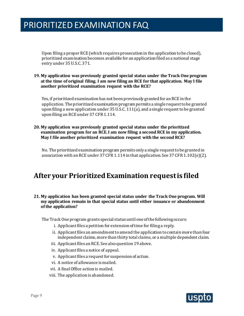Upon filing a proper RCE (which requires prosecution in the application to be closed), prioritized examination becomes available for an application filed as a national stage entry under 35 U.S.C. 371.

#### **19. My application was previously granted special status under the Track One program at the time of original filing. I am now filing an RCE for that application. May I file another prioritized examination request with the RCE?**

Yes, if prioritized examination has not been previously granted for an RCE in the application. The prioritized examination program permits a single request to be granted upon filing a new application under 35 U.S.C. 111(a), and a single request to be granted upon filing an RCE under 37 CFR 1.114.

#### **20. My application was previously granted special status under the prioritized examination program for an RCE. I am now filing a second RCE in my application. May I file another prioritized examination request with the second RCE?**

No. The prioritized examination program permits only a single request to be granted in association with an RCE under 37 CFR 1.114 in that application. See 37 CFR 1.102(e)(2).

### **After your Prioritized Examination request is filed**

#### **21. My application has been granted special status under the Track One program. Will my application remain in that special status until either issuance or abandonment of the application?**

The Track One program grants special status until one of the following occurs:

- i. Applicant files a petition for extension of time for filing a reply.
- ii. Applicant files an amendment to amend the application to contain more than four independent claims, more than thirty total claims, or a multiple dependent claim.
- iii. Applicant files an RCE. See also question 19 above.
- iv. Applicant files a notice of appeal.
- v. Applicant files a request for suspension of action.
- vi. A notice of allowance is mailed.
- vii. A final Office action is mailed.
- viii. The application is abandoned.

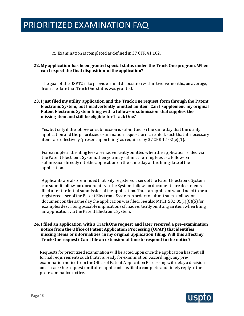ix. Examination is completed as defined in 37 CFR 41.102.

#### **22. My application has been granted special status under the Track One program. When can I expect the final disposition of the application?**

 The goal of the USPTO is to provide a final disposition within twelve months, on average, from the date that Track One status was granted.

#### **23. I just filed my utility application and the Track One request form through the Patent Electronic System, but I inadvertently omitted an item. Can I supplement my original Patent Electronic System filing with a follow-on submission that supplies the missing item and still be eligible for Track One?**

Yes, but only if the follow-on submission is submitted on the same day that the utility application and the prioritized examination request form are filed, such that all necessary items are effectively "present upon filing" as required by 37 CFR 1.102(e)(1).

For example, if the filing fees are inadvertently omitted when the application is filed via the Patent Electronic System, then you may submit the filing fees as a follow-on submission directly into the application on the same day as the filing date of the application.

Applicants are also reminded that only registered users of the Patent Electronic System can submit follow-on documents via the System; follow-on documents are documents filed after the initial submission of the application. Thus, an applicant would need to be a registered user of the Patent Electronic System in order to submit such a follow-on document on the same day the application was filed. See also MPEP 502.05(I)(C)(5) for examples describing possible implications of inadvertently omitting an item when filing an application via the Patent Electronic System.

#### **24. I filed an application with a Track One request and later received a pre-examination notice from the Office of Patent Application Processing (OPAP) that identifies missing items or informalities in my original application filing. Will this affect my Track One request? Can I file an extension of time to respond to the notice?**

Requests for prioritized examination will be acted upon once the application has met all formal requirements such that it is ready for examination. Accordingly, any preexamination notice from the Office of Patent Application Processing will delay a decision on a Track One request until after applicant has filed a complete and timely reply to the pre-examination notice.

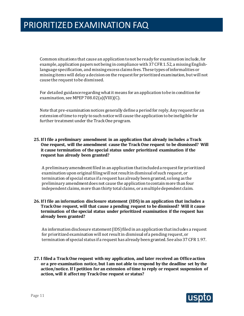language specification, and missing excess claims fees. These types of informalities or Common situations that cause an application to not be ready for examination include, for example, application papers not being in compliance with 37 CFR 1.52, a missing Englishmissing items will delay a decision on the request for prioritized examination, but will not cause the request to be dismissed.

For detailed guidance regarding what it means for an application to be in condition for examination, see MPEP 708.02(a)(VIII)(C).

Note that pre-examination notices generally define a period for reply. Any request for an extension of time to reply to such notice will cause the application to be ineligible for further treatment under the Track One program.

#### **25. If I file a preliminary amendment in an application that already includes a Track One request, will the amendment cause the Track One request to be dismissed? Will it cause termination of the special status under prioritized examination if the request has already been granted?**

A preliminary amendment filed in an application that included a request for prioritized examination upon original filing will not result in dismissal of such request, or termination of special status if a request has already been granted, so long as the preliminary amendment does not cause the application to contain more than four independent claims, more than thirty total claims, or a multiple dependent claim.

#### **26. If I file an information disclosure statement (IDS) in an application that includes a Track One request, will that cause a pending request to be dismissed? Will it cause termination of the special status under prioritized examination if the request has already been granted?**

 termination of special status if a request has already been granted. See also 37 CFR 1.97. An information disclosure statement (IDS) filed in an application that includes a request for prioritized examination will not result in dismissal of a pending request, or

 **27. I filed a Track One request with my application, and later received an Office action or a pre-examination notice, but I am not able to respond by the deadline set by the action/notice. If I petition for an extension of time to reply or request suspension of action, will it affect my Track One request or status?** 

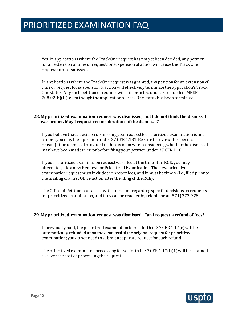for an extension of time or request for suspension of action will cause the Track One Yes. In applications where the Track One request has not yet been decided, any petition request to be dismissed.

In applications where the Track One request was granted, any petition for an extension of time or request for suspension of action will effectively terminate the application's Track One status. Any such petition or request will still be acted upon as set forth in MPEP 708.02(b)(II), even though the application's Track One status has been terminated.

#### **28. My prioritized examination request was dismissed, but I do not think the dismissal was proper. May I request reconsideration of the dismissal?**

If you believe that a decision dismissing your request for prioritized examination is not proper, you may file a petition under 37 CFR 1.181. Be sure to review the specific reason(s) for dismissal provided in the decision when considering whether the dismissal may have been made in error before filing your petition under 37 CFR 1.181.

 If your prioritized examination request was filed at the time of an RCE, you may alternately file a new Request for Prioritized Examination. The new prioritized examination request must include the proper fees, and it must be timely (i.e., filed prior to the mailing of a first Office action after the filing of the RCE).

 The Office of Petitions can assist with questions regarding specific decisions on requests for prioritized examination, and they can be reached by telephone at (571)272-3282.

#### **29. My prioritized examination request was dismissed. Can I request a refund of fees?**

If previously paid, the prioritized examination fee set forth in 37 CFR 1.17(c) will be automatically refunded upon the dismissal of the original request for prioritized examination; you do not need to submit a separate request for such refund.

 to cover the cost of processing the request. The prioritized examination processing fee set forth in 37 CFR 1.17(i)(1) will be retained